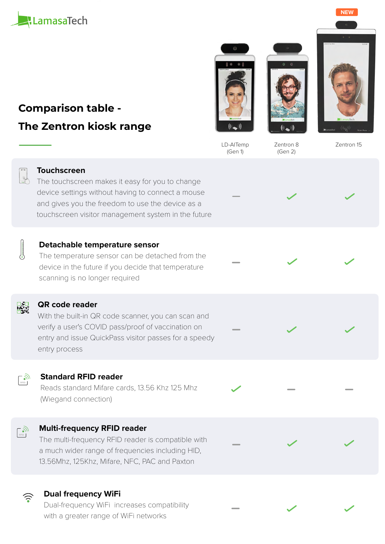

# **Comparison table - The Zentron kiosk range**







LD-AITemp (Gen 1)

Zentron 8 (Gen 2)

Zentron 15



#### **Touchscreen**

The touchscreen makes it easy for you to change device settings without having to connect a mouse and gives you the freedom to use the device as a touchscreen visitor management system in the future



#### **Detachable temperature sensor**

The temperature sensor can be detached from the device in the future if you decide that temperature scanning is no longer required



#### **QR code reader**

With the built-in QR code scanner, you can scan and verify a user's COVID pass/proof of vaccination on entry and issue QuickPass visitor passes for a speedy entry process



#### **Standard RFID reader**

Reads standard Mifare cards, 13.56 Khz 125 Mhz (Wiegand connection)

# $\binom{R}{n}$

### **Multi-frequency RFID reader**

The multi-frequency RFID reader is compatible with a much wider range of frequencies including HID, 13.56Mhz, 125Khz, Mifare, NFC, PAC and Paxton

### **Dual frequency WiFi**

Dual-frequency WiFi increases compatibility with a greater range of WiFi networks



**NEW**